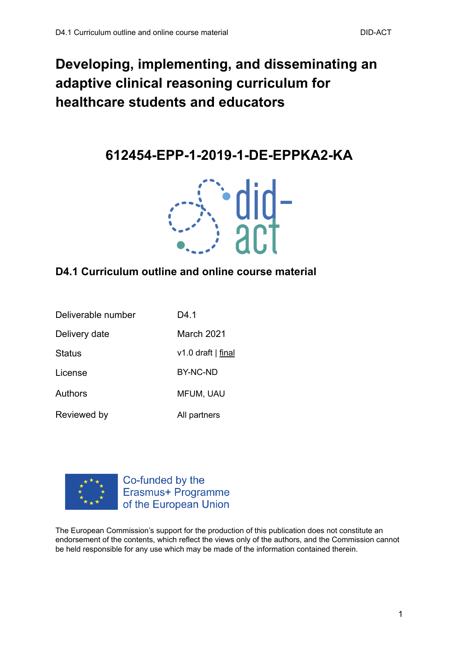# **Developing, implementing, and disseminating an adaptive clinical reasoning curriculum for healthcare students and educators**

**612454-EPP-1-2019-1-DE-EPPKA2-KA**



#### **D4.1 Curriculum outline and online course material**

| Deliverable number | D4 1               |
|--------------------|--------------------|
| Delivery date      | March 2021         |
| <b>Status</b>      | v1.0 draft   final |
| License            | BY-NC-ND           |
| <b>Authors</b>     | <b>MFUM, UAU</b>   |
| Reviewed by        | All partners       |



Co-funded by the Erasmus+ Programme of the European Union

The European Commission's support for the production of this publication does not constitute an endorsement of the contents, which reflect the views only of the authors, and the Commission cannot be held responsible for any use which may be made of the information contained therein.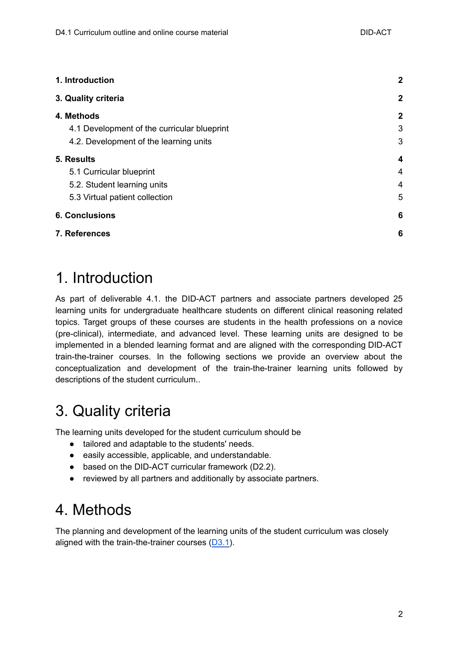| 1. Introduction                             | $\mathbf{2}$     |
|---------------------------------------------|------------------|
| 3. Quality criteria                         | $\boldsymbol{2}$ |
| 4. Methods                                  | $\boldsymbol{2}$ |
| 4.1 Development of the curricular blueprint | 3                |
| 4.2. Development of the learning units      | 3                |
| 5. Results                                  | 4                |
| 5.1 Curricular blueprint                    | 4                |
| 5.2. Student learning units                 | 4                |
| 5.3 Virtual patient collection              | 5                |
| <b>6. Conclusions</b>                       | 6                |
| 7. References                               | 6                |

### <span id="page-1-0"></span>1. Introduction

As part of deliverable 4.1. the DID-ACT partners and associate partners developed 25 learning units for undergraduate healthcare students on different clinical reasoning related topics. Target groups of these courses are students in the health professions on a novice (pre-clinical), intermediate, and advanced level. These learning units are designed to be implemented in a blended learning format and are aligned with the corresponding DID-ACT train-the-trainer courses. In the following sections we provide an overview about the conceptualization and development of the train-the-trainer learning units followed by descriptions of the student curriculum..

# <span id="page-1-1"></span>3. Quality criteria

The learning units developed for the student curriculum should be

- tailored and adaptable to the students' needs.
- easily accessible, applicable, and understandable.
- based on the DID-ACT curricular framework (D2.2).
- reviewed by all partners and additionally by associate partners.

# <span id="page-1-2"></span>4. Methods

The planning and development of the learning units of the student curriculum was closely aligned with the train-the-trainer courses  $(D3.1)$  $(D3.1)$  $(D3.1)$ .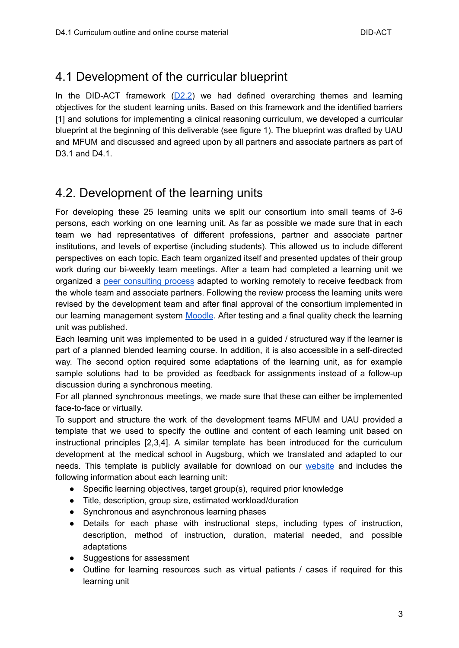#### <span id="page-2-0"></span>4.1 Development of the curricular blueprint

In the DID-ACT framework  $(D2.2)$  $(D2.2)$  we had defined overarching themes and learning objectives for the student learning units. Based on this framework and the identified barriers [1] and solutions for implementing a clinical reasoning curriculum, we developed a curricular blueprint at the beginning of this deliverable (see figure 1). The blueprint was drafted by UAU and MFUM and discussed and agreed upon by all partners and associate partners as part of D3.1 and D4.1.

### <span id="page-2-1"></span>4.2. Development of the learning units

For developing these 25 learning units we split our consortium into small teams of 3-6 persons, each working on one learning unit. As far as possible we made sure that in each team we had representatives of different professions, partner and associate partner institutions, and levels of expertise (including students). This allowed us to include different perspectives on each topic. Each team organized itself and presented updates of their group work during our bi-weekly team meetings. After a team had completed a learning unit we organized a peer [consulting](https://www.coverdale.de/fileadmin/Germany/Toolbox/Peer_consulting.pdf) process adapted to working remotely to receive feedback from the whole team and associate partners. Following the review process the learning units were revised by the development team and after final approval of the consortium implemented in our learning management system [Moodle](https://lms.did-act.eu). After testing and a final quality check the learning unit was published.

Each learning unit was implemented to be used in a guided / structured way if the learner is part of a planned blended learning course. In addition, it is also accessible in a self-directed way. The second option required some adaptations of the learning unit, as for example sample solutions had to be provided as feedback for assignments instead of a follow-up discussion during a synchronous meeting.

For all planned synchronous meetings, we made sure that these can either be implemented face-to-face or virtually.

To support and structure the work of the development teams MFUM and UAU provided a template that we used to specify the outline and content of each learning unit based on instructional principles [2,3,4]. A similar template has been introduced for the curriculum development at the medical school in Augsburg, which we translated and adapted to our needs. This template is publicly available for download on our [website](https://did-act.eu/wp-content/uploads/2021/11/LU-Template.xlsx) and includes the following information about each learning unit:

- Specific learning objectives, target group(s), required prior knowledge
- Title, description, group size, estimated workload/duration
- Synchronous and asynchronous learning phases
- Details for each phase with instructional steps, including types of instruction, description, method of instruction, duration, material needed, and possible adaptations
- Suggestions for assessment
- Outline for learning resources such as virtual patients / cases if required for this learning unit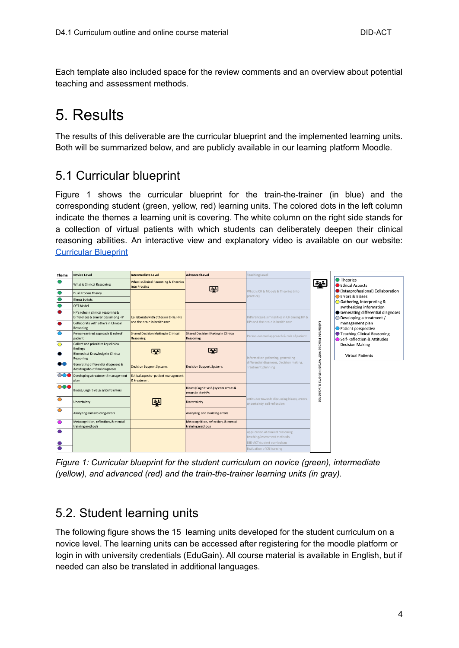Each template also included space for the review comments and an overview about potential teaching and assessment methods.

# <span id="page-3-0"></span>5. Results

The results of this deliverable are the curricular blueprint and the implemented learning units. Both will be summarized below, and are publicly available in our learning platform Moodle.

#### <span id="page-3-1"></span>5.1 Curricular blueprint

Figure 1 shows the curricular blueprint for the train-the-trainer (in blue) and the corresponding student (green, yellow, red) learning units. The colored dots in the left column indicate the themes a learning unit is covering. The white column on the right side stands for a collection of virtual patients with which students can deliberately deepen their clinical reasoning abilities. An interactive view and explanatory video is available on our website: [Curricular](https://did-act.eu/knowledge-base/quick-start-guide/) Blueprint

| <b>Theme</b>   | Novice Level                                                              | Intermediate Level                                     | <b>Advanced Level</b>                                     | Teaching Level                                                               |                                                                                                                  |  |
|----------------|---------------------------------------------------------------------------|--------------------------------------------------------|-----------------------------------------------------------|------------------------------------------------------------------------------|------------------------------------------------------------------------------------------------------------------|--|
|                | What is Clinical Reasoning                                                | What is Clinical Reasoning & Theories<br>into Practice | لغيغا                                                     | What is CR & Models & Theories (into<br>practice)                            | <b>O</b> Theories<br>خيفا<br><b>Ethical Aspects</b>                                                              |  |
|                | Dual Process Theory                                                       |                                                        |                                                           |                                                                              | Interprofessional) Collaboration<br><b>Errors &amp; Biases</b>                                                   |  |
|                | <b>Illness Scripts</b>                                                    |                                                        |                                                           |                                                                              | Gathering, interpreting &                                                                                        |  |
| ●              | OPT Model                                                                 |                                                        |                                                           |                                                                              | synthesizing information                                                                                         |  |
|                | HP's roles in clinical reasoning &<br>Differences & similarities among HP | Collaborate with others in CR & HPs                    |                                                           | Differences & similarities in CR among HP &                                  | Generating differential diagnoses<br>$\bigcirc$ Developing a treatment /                                         |  |
| ٠              | Collaborate with others in Clinical<br>Reasoning                          | and their role in health care                          |                                                           | HPs and their role in health care                                            | management plan<br>Patient perspective                                                                           |  |
| ◯              | Person-centred approach & role of<br>patient                              | Shared Decision Making in Clinical<br>Reasoning        | Shared Decision Making in Clinical<br>Reasoning           | Person-centred approach & role of patient                                    | Deliberate Practice with Virtual Patients<br><b>C</b> Teaching Clinical Reasoning<br>Self-Reflection & Attitudes |  |
| O              | Collect and prioritize key clinical<br>findings                           | $\overline{\phantom{a}}$                               | $\overline{\phantom{a}}$                                  |                                                                              | <b>Decision Making</b>                                                                                           |  |
|                | Biomedical Knowledge in Clinical<br>Reasoning                             |                                                        |                                                           | Information gathering, generating                                            | <b>Virtual Patients</b>                                                                                          |  |
| 88             | Generating differential diagnoses &<br>deciding about final diagnoses     | <b>Decision Support Systems</b>                        | <b>Decision Support Systems</b>                           | differential diagnoses, Decision making,<br>Treatment planning               |                                                                                                                  |  |
|                | OOO Developing a treatment/management<br>plan                             | Ethical aspects - patient management<br>& treatment    |                                                           |                                                                              |                                                                                                                  |  |
| $\circ\bullet$ | Biases, Cognitive (& system) errors                                       |                                                        | Biases (Cognitive &) system errors &<br>errors in the HPs |                                                                              | <b>go</b><br>Scenarios                                                                                           |  |
| $\bullet$      | Uncertainty                                                               | أخوقا                                                  | Uncertainty                                               | Attitudes towards discussing biases, errors,<br>uncertainty, self-reflection |                                                                                                                  |  |
| $\circ$        | Analyzing and avoiding errors                                             |                                                        | Analyzing and avoiding errors                             |                                                                              |                                                                                                                  |  |
| O              | Metacognition, reflection, & mental<br>training methods                   |                                                        | Metacognition, reflection, & mental<br>training methods   |                                                                              |                                                                                                                  |  |
|                |                                                                           |                                                        |                                                           | Application of clinical reasoning                                            |                                                                                                                  |  |
|                |                                                                           |                                                        |                                                           | DID-ACT student curriculum                                                   |                                                                                                                  |  |
|                |                                                                           |                                                        |                                                           | <b>Evaluation of CR learning</b>                                             |                                                                                                                  |  |
|                |                                                                           |                                                        |                                                           | teaching/assessment methods                                                  |                                                                                                                  |  |

*Figure 1: Curricular blueprint for the student curriculum on novice (green), intermediate (yellow), and advanced (red) and the train-the-trainer learning units (in gray).*

#### <span id="page-3-2"></span>5.2. Student learning units

The following figure shows the 15 learning units developed for the student curriculum on a novice level. The learning units can be accessed after registering for the moodle platform or login in with university credentials (EduGain). All course material is available in English, but if needed can also be translated in additional languages.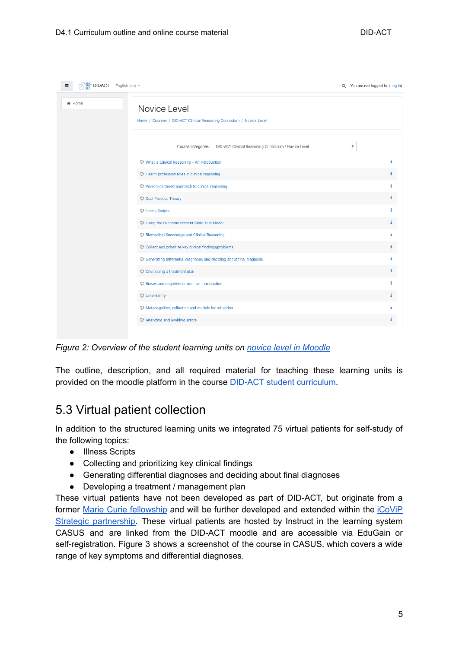| * did- DIDACT English (en) *<br>$\equiv$                                                        | Q You are not logged in. (Log in) |    |
|-------------------------------------------------------------------------------------------------|-----------------------------------|----|
| ₩ Home<br>Novice Level<br>Home / Courses / DID-ACT Clinical Reasoning Curriculum / Novice Level |                                   |    |
| Course categories:<br>DID-ACT Clinical Reasoning Curriculum / Novice Level                      | ÷                                 |    |
| What is Clinical Reasoning - An introduction                                                    |                                   | i  |
| C Health profession roles in clinical reasoning                                                 |                                   | i. |
| C: Person-centered approach to clinical reasoning                                               |                                   | i  |
| <b>Dual Process Theory</b>                                                                      |                                   | i. |
| <b>D</b> Illness Scripts                                                                        |                                   | i  |
| Using the Outcome Present State Test Model                                                      |                                   | i. |
| <b>Biomedical Knowledge and Clinical Reasoning</b>                                              |                                   | i  |
| Collect and prioritize key clinical findings/problems                                           |                                   | i  |
| C Generating differential diagnoses and deciding about final diagnosis                          |                                   | i  |
| <b>Developing a treatment plan</b>                                                              |                                   | i  |
| 83 Biases and cognitive errors - an Introduction                                                |                                   | ÷  |
| <b>Oncertainty</b>                                                                              |                                   | i  |
| C. Metacognition, reflection and models for reflection                                          |                                   | i  |
| Analyzing and avoiding errors                                                                   |                                   | i  |
|                                                                                                 |                                   |    |

*Figure 2: Overview of the student learning units on novice level in [Moodle](https://did-act.instruct.eu/course/index.php?categoryid=9)*

The outline, description, and all required material for teaching these learning units is provided on the moodle platform in the course DID-ACT student [curriculum](https://did-act.instruct.eu/course/view.php?id=8).

#### <span id="page-4-0"></span>5.3 Virtual patient collection

In addition to the structured learning units we integrated 75 virtual patients for self-study of the following topics:

- Illness Scripts
- Collecting and prioritizing key clinical findings
- Generating differential diagnoses and deciding about final diagnoses
- Developing a treatment / management plan

These virtual patients have not been developed as part of DID-ACT, but originate from a former Marie Curie [fellowship](http://www.virtualpatients.net) and will be further developed and extended within the [iCoViP](http://www.icovip.eu) Strategic [partnership.](http://www.icovip.eu) These virtual patients are hosted by Instruct in the learning system CASUS and are linked from the DID-ACT moodle and are accessible via EduGain or self-registration. Figure 3 shows a screenshot of the course in CASUS, which covers a wide range of key symptoms and differential diagnoses.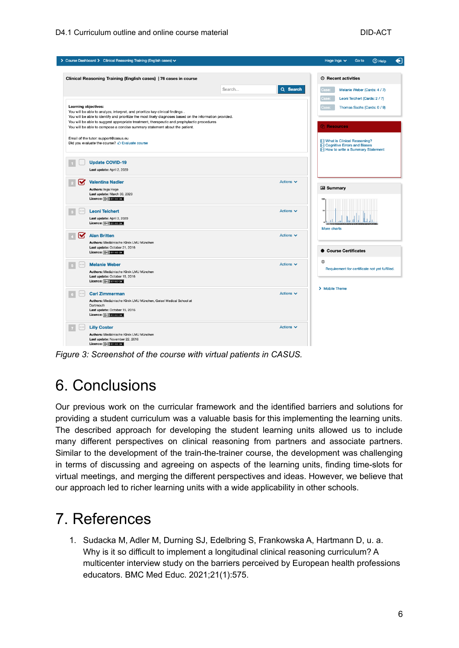|                      | > Course Dashboard > Clinical Reasoning Training (English cases) >                                                                                                                                                                                                                                                                                                    |                    | <b>2</b> Help<br>Hege Inga $\vee$<br>Go to                                                                              |
|----------------------|-----------------------------------------------------------------------------------------------------------------------------------------------------------------------------------------------------------------------------------------------------------------------------------------------------------------------------------------------------------------------|--------------------|-------------------------------------------------------------------------------------------------------------------------|
|                      | Clinical Reasoning Training (English cases)   76 cases in course                                                                                                                                                                                                                                                                                                      |                    | <b>2</b> Recent activities                                                                                              |
|                      |                                                                                                                                                                                                                                                                                                                                                                       | Q Search<br>Search | Case:<br>Melanie Weber (Cards: 4 / 7)                                                                                   |
| Learning objectives: | You will be able to analyze, interpret, and prioritize key clinical findings.<br>You will be able to identify and prioritize the most likely diagnoses based on the information provided.<br>You will be able to suggest appropriate treatment, therapeutic and prophylactic procedures<br>You will be able to compose a concise summary statement about the patient. |                    | Case:<br>Leoni Teichert (Cards: 2 / 7)<br>Case:<br>Thomas Sachs (Cards: 0 / 9)<br><b><i>C</i><sub>1</sub></b> Resources |
|                      | Email of the tutor: support@casus.eu<br>Did you evaluate the course? C Evaluate course                                                                                                                                                                                                                                                                                |                    | What is Clinical Reasoning?<br><b>El Cognitive Errors and Biases</b><br>He How to write a Summary Statement             |
|                      | <b>Update COVID-19</b><br>Last update: April 2, 2020                                                                                                                                                                                                                                                                                                                  |                    |                                                                                                                         |
| M                    | <b>Valentina Nadler</b><br>Authors: Inga Hege<br>Last update: March 30, 2020<br>Licence: ((cc) BY-NO-5A                                                                                                                                                                                                                                                               | Actions $\vee$     | <b>III</b> Summary                                                                                                      |
|                      | <b>Leoni Teichert</b><br>Last update: April 3, 2020<br>Licence: ((cc)) BY-NO-SA                                                                                                                                                                                                                                                                                       | Actions $\vee$     | sc<br>More charts                                                                                                       |
| $\triangledown$      | <b>Alan Britten</b><br>Authors: Medizinische Klinik LMU München<br>Last update: October 21, 2016<br>Licence: ((cc) BYENGESA                                                                                                                                                                                                                                           | Actions $\vee$     | <b>Course Certificates</b><br>۰                                                                                         |
| 000                  | <b>Melanie Weber</b><br>Authors: Medizinische Klinik LMU München<br>Last update: October 15, 2016<br>Licence: ((ce) BY-NC-SA                                                                                                                                                                                                                                          | Actions $\vee$     | $^{\circ}$<br>Requirement for certificate not yet fulfilled.                                                            |
| 0000                 | <b>Carl Zimmerman</b><br>Authors: Medizinische Klinik LMU München, Geisel Medical School at<br>Dartmouth<br>Last update: October 15, 2016<br>Licence: ((cc) Brancast                                                                                                                                                                                                  | Actions $\vee$     | > Mobile Theme                                                                                                          |
| 000                  | <b>Lilly Coster</b><br>Authors: Medizinische Klinik LMU München<br>Last update: November 22, 2016<br>Linenger <i>Laboratory</i>                                                                                                                                                                                                                                       | Actions $\vee$     |                                                                                                                         |

<span id="page-5-0"></span>*Figure 3: Screenshot of the course with virtual patients in CASUS.*

### 6. Conclusions

Our previous work on the curricular framework and the identified barriers and solutions for providing a student curriculum was a valuable basis for this implementing the learning units. The described approach for developing the student learning units allowed us to include many different perspectives on clinical reasoning from partners and associate partners. Similar to the development of the train-the-trainer course, the development was challenging in terms of discussing and agreeing on aspects of the learning units, finding time-slots for virtual meetings, and merging the different perspectives and ideas. However, we believe that our approach led to richer learning units with a wide applicability in other schools.

### <span id="page-5-1"></span>7. References

1. Sudacka M, Adler M, Durning SJ, Edelbring S, Frankowska A, Hartmann D, u. a. Why is it so difficult to implement a longitudinal clinical reasoning curriculum? A multicenter interview study on the barriers perceived by European health professions educators. BMC Med Educ. 2021;21(1):575.